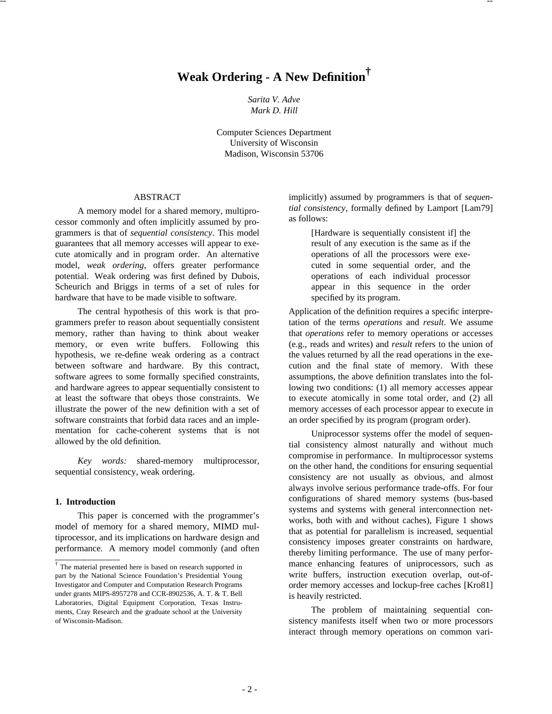# **Weak Ordering - A New Definition†**

-- --

*Sarita V. Adve Mark D. Hill*

Computer Sciences Department University of Wisconsin Madison, Wisconsin 53706

# ABSTRACT

A memory model for a shared memory, multiprocessor commonly and often implicitly assumed by programmers is that of *sequential consistency*. This model guarantees that all memory accesses will appear to execute atomically and in program order. An alternative model, *weak ordering*, offers greater performance potential. Weak ordering was first defined by Dubois, Scheurich and Briggs in terms of a set of rules for hardware that have to be made visible to software.

The central hypothesis of this work is that programmers prefer to reason about sequentially consistent memory, rather than having to think about weaker memory, or even write buffers. Following this hypothesis, we re-define weak ordering as a contract between software and hardware. By this contract, software agrees to some formally specified constraints, and hardware agrees to appear sequentially consistent to at least the software that obeys those constraints. We illustrate the power of the new definition with a set of software constraints that forbid data races and an implementation for cache-coherent systems that is not allowed by the old definition.

*Key words:* shared-memory multiprocessor, sequential consistency, weak ordering.

#### **1. Introduction**

This paper is concerned with the programmer's model of memory for a shared memory, MIMD multiprocessor, and its implications on hardware design and performance. A memory model commonly (and often implicitly) assumed by programmers is that of *sequential consistency*, formally defined by Lamport [Lam79] as follows:

> [Hardware is sequentially consistent if] the result of any execution is the same as if the operations of all the processors were executed in some sequential order, and the operations of each individual processor appear in this sequence in the order specified by its program.

Application of the definition requires a specific interpretation of the terms *operations* and *result*. We assume that *operations* refer to memory operations or accesses (e.g., reads and writes) and *result* refers to the union of the values returned by all the read operations in the execution and the final state of memory. With these assumptions, the above definition translates into the following two conditions: (1) all memory accesses appear to execute atomically in some total order, and (2) all memory accesses of each processor appear to execute in an order specified by its program (program order).

Uniprocessor systems offer the model of sequential consistency almost naturally and without much compromise in performance. In multiprocessor systems on the other hand, the conditions for ensuring sequential consistency are not usually as obvious, and almost always involve serious performance trade-offs. For four configurations of shared memory systems (bus-based systems and systems with general interconnection networks, both with and without caches), Figure 1 shows that as potential for parallelism is increased, sequential consistency imposes greater constraints on hardware, thereby limiting performance. The use of many performance enhancing features of uniprocessors, such as write buffers, instruction execution overlap, out-oforder memory accesses and lockup-free caches [Kro81] is heavily restricted.

The problem of maintaining sequential consistency manifests itself when two or more processors interact through memory operations on common vari-

<sup>&</sup>lt;sup>†</sup>The material presented here is based on research supported in part by the National Science Foundation's Presidential Young Investigator and Computer and Computation Research Programs under grants MIPS-8957278 and CCR-8902536, A. T. & T. Bell Laboratories, Digital Equipment Corporation, Texas Instruments, Cray Research and the graduate school at the University of Wisconsin-Madison.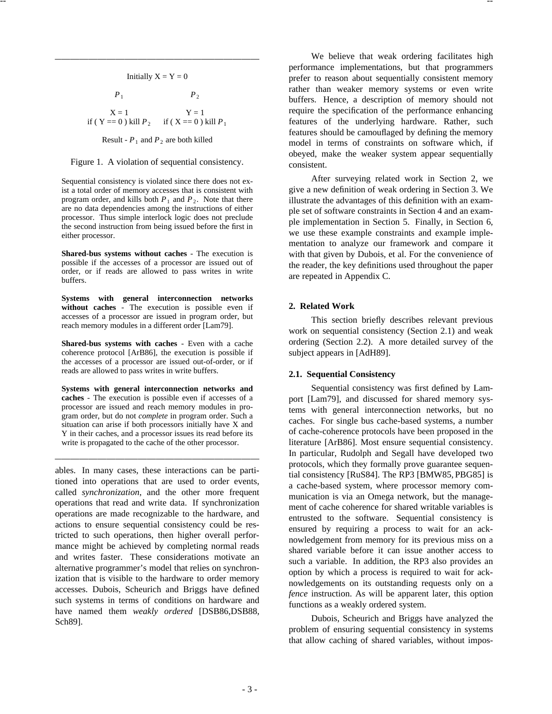Initially 
$$
X = Y = 0
$$
  
\n $P_1$   $P_2$   
\n $X = 1$   $Y = 1$   
\nif  $(Y == 0)$  kill  $P_2$  if  $(X == 0)$  kill  $P_1$ 

-----------------------------

-- --

Result -  $P_1$  and  $P_2$  are both killed

Figure 1. A violation of sequential consistency.

Sequential consistency is violated since there does not exist a total order of memory accesses that is consistent with program order, and kills both  $P_1$  and  $P_2$ . Note that there are no data dependencies among the instructions of either processor. Thus simple interlock logic does not preclude the second instruction from being issued before the first in either processor.

**Shared-bus systems without caches** - The execution is possible if the accesses of a processor are issued out of order, or if reads are allowed to pass writes in write buffers.

**Systems with general interconnection networks without caches** - The execution is possible even if accesses of a processor are issued in program order, but reach memory modules in a different order [Lam79].

**Shared-bus systems with caches** - Even with a cache coherence protocol [ArB86], the execution is possible if the accesses of a processor are issued out-of-order, or if reads are allowed to pass writes in write buffers.

**Systems with general interconnection networks and caches** - The execution is possible even if accesses of a processor are issued and reach memory modules in program order, but do not *complete* in program order. Such a situation can arise if both processors initially have X and Y in their caches, and a processor issues its read before its write is propagated to the cache of the other processor.

ables. In many cases, these interactions can be partitioned into operations that are used to order events, called *synchronization*, and the other more frequent operations that read and write data. If synchronization operations are made recognizable to the hardware, and actions to ensure sequential consistency could be restricted to such operations, then higher overall performance might be achieved by completing normal reads and writes faster. These considerations motivate an alternative programmer's model that relies on synchronization that is visible to the hardware to order memory accesses. Dubois, Scheurich and Briggs have defined such systems in terms of conditions on hardware and have named them *weakly ordered* [DSB86,DSB88, Sch89].

We believe that weak ordering facilitates high performance implementations, but that programmers prefer to reason about sequentially consistent memory rather than weaker memory systems or even write buffers. Hence, a description of memory should not require the specification of the performance enhancing features of the underlying hardware. Rather, such features should be camouflaged by defining the memory model in terms of constraints on software which, if obeyed, make the weaker system appear sequentially consistent.

After surveying related work in Section 2, we give a new definition of weak ordering in Section 3. We illustrate the advantages of this definition with an example set of software constraints in Section 4 and an example implementation in Section 5. Finally, in Section 6, we use these example constraints and example implementation to analyze our framework and compare it with that given by Dubois, et al. For the convenience of the reader, the key definitions used throughout the paper are repeated in Appendix C.

#### **2. Related Work**

This section briefly describes relevant previous work on sequential consistency (Section 2.1) and weak ordering (Section 2.2). A more detailed survey of the subject appears in [AdH89].

# **2.1. Sequential Consistency**

 Sequential consistency was first defined by Lamport [Lam79], and discussed for shared memory systems with general interconnection networks, but no caches. For single bus cache-based systems, a number of cache-coherence protocols have been proposed in the literature [ArB86]. Most ensure sequential consistency. In particular, Rudolph and Segall have developed two protocols, which they formally prove guarantee sequential consistency [RuS84]. The RP3 [BMW85,PBG85] is a cache-based system, where processor memory communication is via an Omega network, but the management of cache coherence for shared writable variables is entrusted to the software. Sequential consistency is ensured by requiring a process to wait for an acknowledgement from memory for its previous miss on a shared variable before it can issue another access to such a variable. In addition, the RP3 also provides an option by which a process is required to wait for acknowledgements on its outstanding requests only on a *fence* instruction. As will be apparent later, this option functions as a weakly ordered system.

> Dubois, Scheurich and Briggs have analyzed the problem of ensuring sequential consistency in systems that allow caching of shared variables, without impos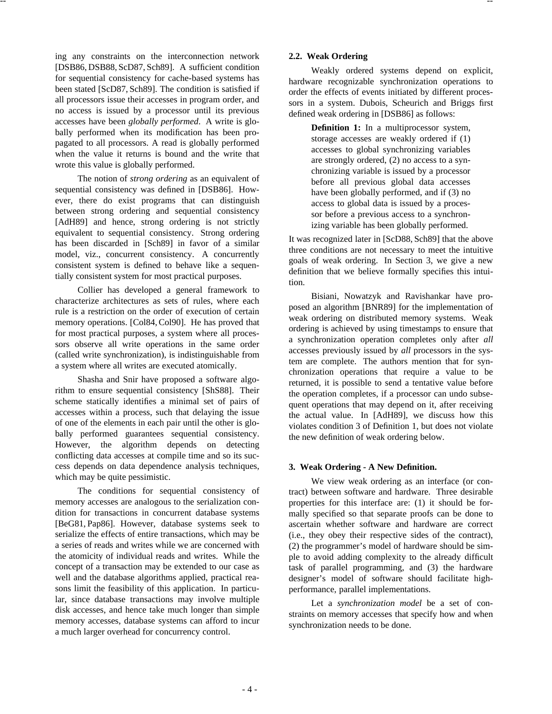ing any constraints on the interconnection network [DSB86, DSB88,ScD87,Sch89]. A sufficient condition for sequential consistency for cache-based systems has been stated [ScD87, Sch89]. The condition is satisfied if all processors issue their accesses in program order, and no access is issued by a processor until its previous accesses have been *globally performed*. A write is globally performed when its modification has been propagated to all processors. A read is globally performed when the value it returns is bound and the write that

The notion of *strong ordering* as an equivalent of sequential consistency was defined in [DSB86]. However, there do exist programs that can distinguish between strong ordering and sequential consistency [AdH89] and hence, strong ordering is not strictly equivalent to sequential consistency. Strong ordering has been discarded in [Sch89] in favor of a similar model, viz., concurrent consistency. A concurrently consistent system is defined to behave like a sequentially consistent system for most practical purposes.

wrote this value is globally performed.

Collier has developed a general framework to characterize architectures as sets of rules, where each rule is a restriction on the order of execution of certain memory operations. [Col84,Col90]. He has proved that for most practical purposes, a system where all processors observe all write operations in the same order (called write synchronization), is indistinguishable from a system where all writes are executed atomically.

Shasha and Snir have proposed a software algorithm to ensure sequential consistency [ShS88]. Their scheme statically identifies a minimal set of pairs of accesses within a process, such that delaying the issue of one of the elements in each pair until the other is globally performed guarantees sequential consistency. However, the algorithm depends on detecting conflicting data accesses at compile time and so its success depends on data dependence analysis techniques, which may be quite pessimistic.

The conditions for sequential consistency of memory accesses are analogous to the serialization condition for transactions in concurrent database systems [BeG81,Pap86]. However, database systems seek to serialize the effects of entire transactions, which may be a series of reads and writes while we are concerned with the atomicity of individual reads and writes. While the concept of a transaction may be extended to our case as well and the database algorithms applied, practical reasons limit the feasibility of this application. In particular, since database transactions may involve multiple disk accesses, and hence take much longer than simple memory accesses, database systems can afford to incur a much larger overhead for concurrency control.

# **2.2. Weak Ordering**

-- --

Weakly ordered systems depend on explicit, hardware recognizable synchronization operations to order the effects of events initiated by different processors in a system. Dubois, Scheurich and Briggs first defined weak ordering in [DSB86] as follows:

**Definition 1:** In a multiprocessor system, storage accesses are weakly ordered if (1) accesses to global synchronizing variables are strongly ordered, (2) no access to a synchronizing variable is issued by a processor before all previous global data accesses have been globally performed, and if (3) no access to global data is issued by a processor before a previous access to a synchronizing variable has been globally performed.

It was recognized later in [ScD88, Sch89] that the above three conditions are not necessary to meet the intuitive goals of weak ordering. In Section 3, we give a new definition that we believe formally specifies this intuition.

Bisiani, Nowatzyk and Ravishankar have proposed an algorithm [BNR89] for the implementation of weak ordering on distributed memory systems. Weak ordering is achieved by using timestamps to ensure that a synchronization operation completes only after *all* accesses previously issued by *all* processors in the system are complete. The authors mention that for synchronization operations that require a value to be returned, it is possible to send a tentative value before the operation completes, if a processor can undo subsequent operations that may depend on it, after receiving the actual value. In [AdH89], we discuss how this violates condition 3 of Definition 1, but does not violate the new definition of weak ordering below.

#### **3. Weak Ordering - A New Definition.**

We view weak ordering as an interface (or contract) between software and hardware. Three desirable properties for this interface are: (1) it should be formally specified so that separate proofs can be done to ascertain whether software and hardware are correct (i.e., they obey their respective sides of the contract), (2) the programmer's model of hardware should be simple to avoid adding complexity to the already difficult task of parallel programming, and (3) the hardware designer's model of software should facilitate highperformance, parallel implementations.

Let a *synchronization model* be a set of constraints on memory accesses that specify how and when synchronization needs to be done.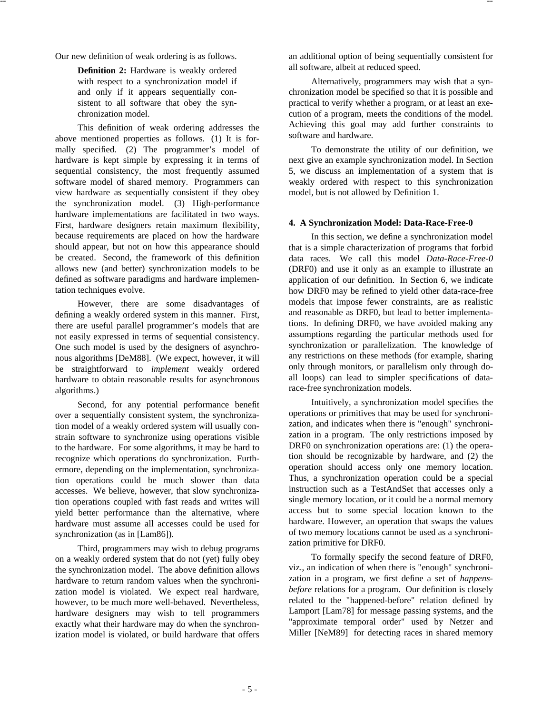Our new definition of weak ordering is as follows.

**Definition 2:** Hardware is weakly ordered with respect to a synchronization model if and only if it appears sequentially consistent to all software that obey the synchronization model.

-- --

This definition of weak ordering addresses the above mentioned properties as follows. (1) It is formally specified. (2) The programmer's model of hardware is kept simple by expressing it in terms of sequential consistency, the most frequently assumed software model of shared memory. Programmers can view hardware as sequentially consistent if they obey the synchronization model. (3) High-performance hardware implementations are facilitated in two ways. First, hardware designers retain maximum flexibility, because requirements are placed on how the hardware should appear, but not on how this appearance should be created. Second, the framework of this definition allows new (and better) synchronization models to be defined as software paradigms and hardware implementation techniques evolve.

However, there are some disadvantages of defining a weakly ordered system in this manner. First, there are useful parallel programmer's models that are not easily expressed in terms of sequential consistency. One such model is used by the designers of asynchronous algorithms [DeM88]. (We expect, however, it will be straightforward to *implement* weakly ordered hardware to obtain reasonable results for asynchronous algorithms.)

Second, for any potential performance benefit over a sequentially consistent system, the synchronization model of a weakly ordered system will usually constrain software to synchronize using operations visible to the hardware. For some algorithms, it may be hard to recognize which operations do synchronization. Furthermore, depending on the implementation, synchronization operations could be much slower than data accesses. We believe, however, that slow synchronization operations coupled with fast reads and writes will yield better performance than the alternative, where hardware must assume all accesses could be used for synchronization (as in [Lam86]).

Third, programmers may wish to debug programs on a weakly ordered system that do not (yet) fully obey the synchronization model. The above definition allows hardware to return random values when the synchronization model is violated. We expect real hardware, however, to be much more well-behaved. Nevertheless, hardware designers may wish to tell programmers exactly what their hardware may do when the synchronization model is violated, or build hardware that offers an additional option of being sequentially consistent for all software, albeit at reduced speed.

Alternatively, programmers may wish that a synchronization model be specified so that it is possible and practical to verify whether a program, or at least an execution of a program, meets the conditions of the model. Achieving this goal may add further constraints to software and hardware.

To demonstrate the utility of our definition, we next give an example synchronization model. In Section 5, we discuss an implementation of a system that is weakly ordered with respect to this synchronization model, but is not allowed by Definition 1.

# **4. A Synchronization Model: Data-Race-Free-0**

In this section, we define a synchronization model that is a simple characterization of programs that forbid data races. We call this model *Data-Race-Free-0* (DRF0) and use it only as an example to illustrate an application of our definition. In Section 6, we indicate how DRF0 may be refined to yield other data-race-free models that impose fewer constraints, are as realistic and reasonable as DRF0, but lead to better implementations. In defining DRF0, we have avoided making any assumptions regarding the particular methods used for synchronization or parallelization. The knowledge of any restrictions on these methods (for example, sharing only through monitors, or parallelism only through doall loops) can lead to simpler specifications of datarace-free synchronization models.

Intuitively, a synchronization model specifies the operations or primitives that may be used for synchronization, and indicates when there is "enough" synchronization in a program. The only restrictions imposed by DRF0 on synchronization operations are: (1) the operation should be recognizable by hardware, and (2) the operation should access only one memory location. Thus, a synchronization operation could be a special instruction such as a TestAndSet that accesses only a single memory location, or it could be a normal memory access but to some special location known to the hardware. However, an operation that swaps the values of two memory locations cannot be used as a synchronization primitive for DRF0.

To formally specify the second feature of DRF0, viz., an indication of when there is "enough" synchronization in a program, we first define a set of *happensbefore* relations for a program. Our definition is closely related to the "happened-before" relation defined by Lamport [Lam78] for message passing systems, and the "approximate temporal order" used by Netzer and Miller [NeM89] for detecting races in shared memory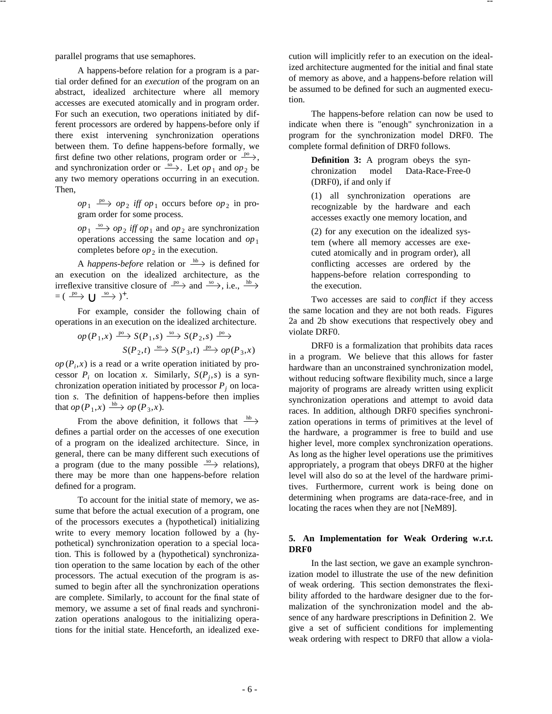parallel programs that use semaphores.

A happens-before relation for a program is a partial order defined for an *execution* of the program on an abstract, idealized architecture where all memory accesses are executed atomically and in program order. For such an execution, two operations initiated by different processors are ordered by happens-before only if there exist intervening synchronization operations between them. To define happens-before formally, we first define two other relations, program order or  $\frac{po}{r}$ , and synchronization order or  $\xrightarrow{s_0}$ . Let  $op_1$  and  $op_2$  be any two memory operations occurring in an execution. Then,

-- --

 $op_1 \stackrel{po}{\longrightarrow} op_2$  *iff*  $op_1$  occurs before  $op_2$  in program order for some process.

 $op_1 \xrightarrow{so} op_2$  *iff*  $op_1$  and  $op_2$  are synchronization operations accessing the same location and  $op_1$ completes before  $op_2$  in the execution.

A *happens-before* relation or  $\xrightarrow{hb}$  is defined for an execution on the idealized architecture, as the irreflexive transitive closure of  $\frac{p_0}{p_0}$  and  $\frac{s_0}{p_0}$ , i.e.,  $\frac{hb}{p_0}$  $=$   $(\longrightarrow_{\text{po}})$   $\longrightarrow_{\text{so}})$   $\rightarrow$   $\rightarrow$   $\rightarrow$   $\rightarrow$   $\rightarrow$ 

For example, consider the following chain of operations in an execution on the idealized architecture.

$$
op(P_1,x) \xrightarrow{po} S(P_1,s) \xrightarrow{so} S(P_2,s) \xrightarrow{po} S(P_2,t) \xrightarrow{so} S(P_3,t) \xrightarrow{po} op(P_3,x)
$$

 $op(P_i,x)$  is a read or a write operation initiated by processor  $P_i$  on location *x*. Similarly,  $S(P_j, s)$  is a synchronization operation initiated by processor  $P_j$  on location *s*. The definition of happens-before then implies that  $op(P_1,x) \xrightarrow{\text{hb}} op(P_3,x)$ .

From the above definition, it follows that  $\xrightarrow{hb}$ defines a partial order on the accesses of one execution of a program on the idealized architecture. Since, in general, there can be many different such executions of a program (due to the many possible  $\rightarrow^{\text{so}}$  relations), there may be more than one happens-before relation defined for a program.

To account for the initial state of memory, we assume that before the actual execution of a program, one of the processors executes a (hypothetical) initializing write to every memory location followed by a (hypothetical) synchronization operation to a special location. This is followed by a (hypothetical) synchronization operation to the same location by each of the other processors. The actual execution of the program is assumed to begin after all the synchronization operations are complete. Similarly, to account for the final state of memory, we assume a set of final reads and synchronization operations analogous to the initializing operations for the initial state. Henceforth, an idealized exe-

cution will implicitly refer to an execution on the idealized architecture augmented for the initial and final state of memory as above, and a happens-before relation will be assumed to be defined for such an augmented execution.

The happens-before relation can now be used to indicate when there is "enough" synchronization in a program for the synchronization model DRF0. The complete formal definition of DRF0 follows.

> **Definition 3:** A program obeys the synchronization model Data-Race-Free-0 (DRF0), if and only if

> (1) all synchronization operations are recognizable by the hardware and each accesses exactly one memory location, and

> (2) for any execution on the idealized system (where all memory accesses are executed atomically and in program order), all conflicting accesses are ordered by the happens-before relation corresponding to the execution.

Two accesses are said to *conflict* if they access the same location and they are not both reads. Figures 2a and 2b show executions that respectively obey and violate DRF0.

DRF0 is a formalization that prohibits data races in a program. We believe that this allows for faster hardware than an unconstrained synchronization model, without reducing software flexibility much, since a large majority of programs are already written using explicit synchronization operations and attempt to avoid data races. In addition, although DRF0 specifies synchronization operations in terms of primitives at the level of the hardware, a programmer is free to build and use higher level, more complex synchronization operations. As long as the higher level operations use the primitives appropriately, a program that obeys DRF0 at the higher level will also do so at the level of the hardware primitives. Furthermore, current work is being done on determining when programs are data-race-free, and in locating the races when they are not [NeM89].

# **5. An Implementation for Weak Ordering w.r.t. DRF0**

In the last section, we gave an example synchronization model to illustrate the use of the new definition of weak ordering. This section demonstrates the flexibility afforded to the hardware designer due to the formalization of the synchronization model and the absence of any hardware prescriptions in Definition 2. We give a set of sufficient conditions for implementing weak ordering with respect to DRF0 that allow a viola-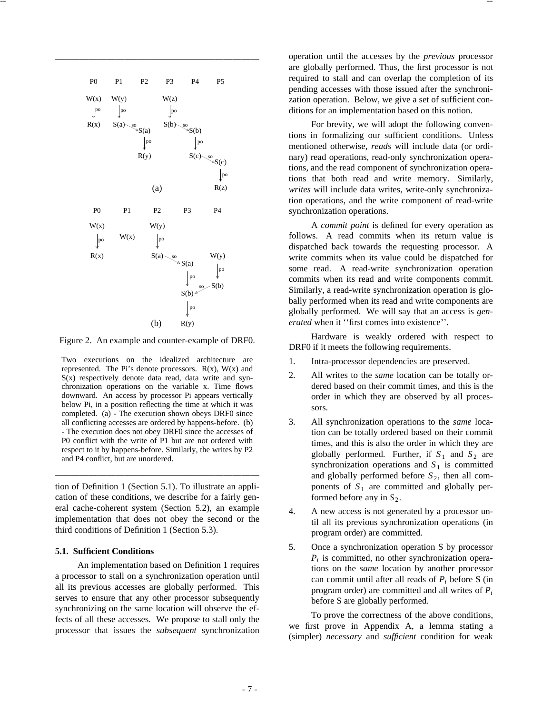

-- --

Figure 2. An example and counter-example of DRF0.

Two executions on the idealized architecture are represented. The Pi's denote processors.  $R(x)$ ,  $W(x)$  and S(x) respectively denote data read, data write and synchronization operations on the variable x. Time flows downward. An access by processor Pi appears vertically below Pi, in a position reflecting the time at which it was completed. (a) - The execution shown obeys DRF0 since all conflicting accesses are ordered by happens-before. (b) - The execution does not obey DRF0 since the accesses of P0 conflict with the write of P1 but are not ordered with respect to it by happens-before. Similarly, the writes by P2 and P4 conflict, but are unordered.

tion of Definition 1 (Section 5.1). To illustrate an application of these conditions, we describe for a fairly general cache-coherent system (Section 5.2), an example implementation that does not obey the second or the third conditions of Definition 1 (Section 5.3).

#### **5.1. Sufficient Conditions**

An implementation based on Definition 1 requires a processor to stall on a synchronization operation until all its previous accesses are globally performed. This serves to ensure that any other processor subsequently synchronizing on the same location will observe the effects of all these accesses. We propose to stall only the processor that issues the *subsequent* synchronization

 operation until the accesses by the *previous* processor are globally performed. Thus, the first processor is not required to stall and can overlap the completion of its pending accesses with those issued after the synchronization operation. Below, we give a set of sufficient conditions for an implementation based on this notion.

> For brevity, we will adopt the following conventions in formalizing our sufficient conditions. Unless mentioned otherwise, *reads* will include data (or ordinary) read operations, read-only synchronization operations, and the read component of synchronization operations that both read and write memory. Similarly, *writes* will include data writes, write-only synchronization operations, and the write component of read-write synchronization operations.

> A *commit point* is defined for every operation as follows. A read commits when its return value is dispatched back towards the requesting processor. A write commits when its value could be dispatched for some read. A read-write synchronization operation commits when its read and write components commit. Similarly, a read-write synchronization operation is globally performed when its read and write components are globally performed. We will say that an access is *generated* when it ''first comes into existence''.

> Hardware is weakly ordered with respect to DRF0 if it meets the following requirements.

- 1. Intra-processor dependencies are preserved.
- 2. All writes to the *same* location can be totally ordered based on their commit times, and this is the order in which they are observed by all processors.
- 3. All synchronization operations to the *same* location can be totally ordered based on their commit times, and this is also the order in which they are globally performed. Further, if  $S_1$  and  $S_2$  are synchronization operations and  $S_1$  is committed and globally performed before  $S_2$ , then all components of  $S_1$  are committed and globally performed before any in  $S_2$ .
	- 4. A new access is not generated by a processor until all its previous synchronization operations (in program order) are committed.
	- 5. Once a synchronization operation S by processor *Pi* is committed, no other synchronization operations on the *same* location by another processor can commit until after all reads of *P<sup>i</sup>* before S (in program order) are committed and all writes of *P<sup>i</sup>* before S are globally performed.

To prove the correctness of the above conditions, we first prove in Appendix A, a lemma stating a (simpler) *necessary* and *sufficient* condition for weak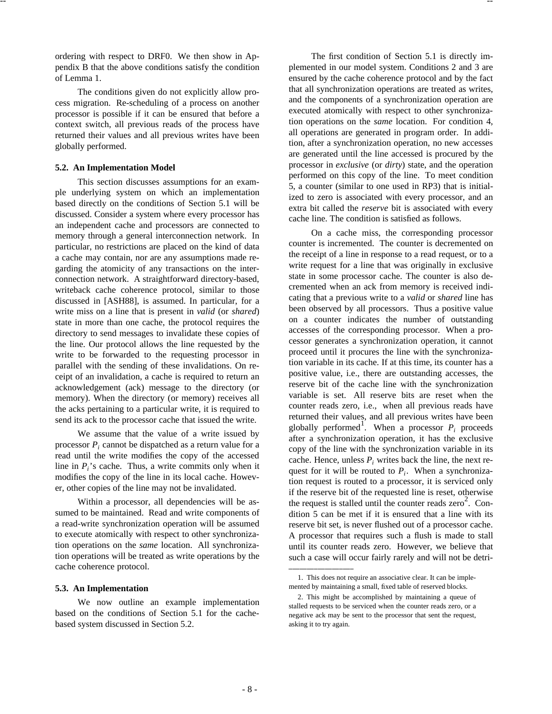ordering with respect to DRF0. We then show in Appendix B that the above conditions satisfy the condition of Lemma 1.

The conditions given do not explicitly allow process migration. Re-scheduling of a process on another processor is possible if it can be ensured that before a context switch, all previous reads of the process have returned their values and all previous writes have been globally performed.

#### **5.2. An Implementation Model**

This section discusses assumptions for an example underlying system on which an implementation based directly on the conditions of Section 5.1 will be discussed. Consider a system where every processor has an independent cache and processors are connected to memory through a general interconnection network. In particular, no restrictions are placed on the kind of data a cache may contain, nor are any assumptions made regarding the atomicity of any transactions on the interconnection network. A straightforward directory-based, writeback cache coherence protocol, similar to those discussed in [ASH88], is assumed. In particular, for a write miss on a line that is present in *valid* (or *shared*) state in more than one cache, the protocol requires the directory to send messages to invalidate these copies of the line. Our protocol allows the line requested by the write to be forwarded to the requesting processor in parallel with the sending of these invalidations. On receipt of an invalidation, a cache is required to return an acknowledgement (ack) message to the directory (or memory). When the directory (or memory) receives all the acks pertaining to a particular write, it is required to send its ack to the processor cache that issued the write.

We assume that the value of a write issued by processor  $P_i$  cannot be dispatched as a return value for a read until the write modifies the copy of the accessed line in  $P_i$ 's cache. Thus, a write commits only when it modifies the copy of the line in its local cache. However, other copies of the line may not be invalidated.

Within a processor, all dependencies will be assumed to be maintained. Read and write components of a read-write synchronization operation will be assumed to execute atomically with respect to other synchronization operations on the *same* location. All synchronization operations will be treated as write operations by the cache coherence protocol.

#### **5.3. An Implementation**

We now outline an example implementation based on the conditions of Section 5.1 for the cachebased system discussed in Section 5.2.

The first condition of Section 5.1 is directly implemented in our model system. Conditions 2 and 3 are ensured by the cache coherence protocol and by the fact that all synchronization operations are treated as writes, and the components of a synchronization operation are executed atomically with respect to other synchronization operations on the *same* location. For condition 4, all operations are generated in program order. In addition, after a synchronization operation, no new accesses are generated until the line accessed is procured by the processor in *exclusive* (or *dirty*) state, and the operation performed on this copy of the line. To meet condition 5, a counter (similar to one used in RP3) that is initialized to zero is associated with every processor, and an extra bit called the *reserve* bit is associated with every cache line. The condition is satisfied as follows.

On a cache miss, the corresponding processor counter is incremented. The counter is decremented on the receipt of a line in response to a read request, or to a write request for a line that was originally in exclusive state in some processor cache. The counter is also decremented when an ack from memory is received indicating that a previous write to a *valid* or *shared* line has been observed by all processors. Thus a positive value on a counter indicates the number of outstanding accesses of the corresponding processor. When a processor generates a synchronization operation, it cannot proceed until it procures the line with the synchronization variable in its cache. If at this time, its counter has a positive value, i.e., there are outstanding accesses, the reserve bit of the cache line with the synchronization variable is set. All reserve bits are reset when the counter reads zero, i.e., when all previous reads have returned their values, and all previous writes have been globally performed<sup>1</sup>. When a processor  $P_i$  proceeds after a synchronization operation, it has the exclusive copy of the line with the synchronization variable in its cache. Hence, unless  $P_i$  writes back the line, the next request for it will be routed to *P<sup>i</sup>* . When a synchronization request is routed to a processor, it is serviced only if the reserve bit of the requested line is reset, otherwise the request is stalled until the counter reads  $zero<sup>2</sup>$ . Condition 5 can be met if it is ensured that a line with its reserve bit set, is never flushed out of a processor cache. A processor that requires such a flush is made to stall until its counter reads zero. However, we believe that such a case will occur fairly rarely and will not be detri-

<sup>1.</sup> This does not require an associative clear. It can be implemented by maintaining a small, fixed table of reserved blocks.

<sup>2.</sup> This might be accomplished by maintaining a queue of stalled requests to be serviced when the counter reads zero, or a negative ack may be sent to the processor that sent the request, asking it to try again.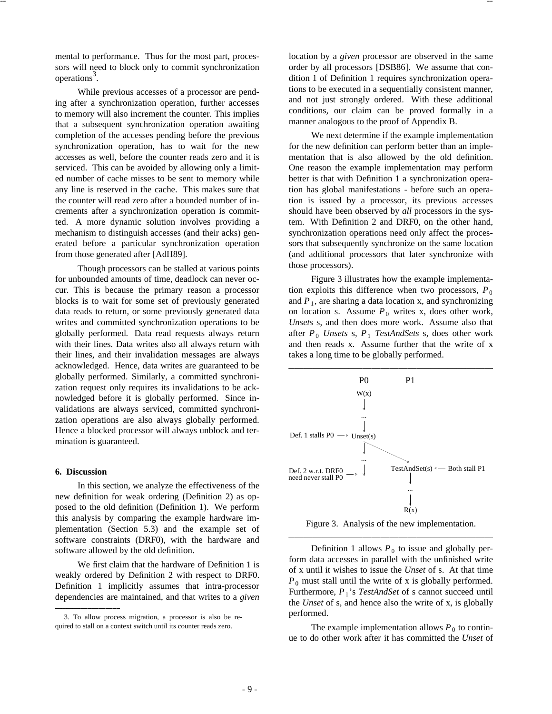mental to performance. Thus for the most part, processors will need to block only to commit synchronization operations<sup>3</sup>.

-- --

While previous accesses of a processor are pending after a synchronization operation, further accesses to memory will also increment the counter. This implies that a subsequent synchronization operation awaiting completion of the accesses pending before the previous synchronization operation, has to wait for the new accesses as well, before the counter reads zero and it is serviced. This can be avoided by allowing only a limited number of cache misses to be sent to memory while any line is reserved in the cache. This makes sure that the counter will read zero after a bounded number of increments after a synchronization operation is committed. A more dynamic solution involves providing a mechanism to distinguish accesses (and their acks) generated before a particular synchronization operation from those generated after [AdH89].

Though processors can be stalled at various points for unbounded amounts of time, deadlock can never occur. This is because the primary reason a processor blocks is to wait for some set of previously generated data reads to return, or some previously generated data writes and committed synchronization operations to be globally performed. Data read requests always return with their lines. Data writes also all always return with their lines, and their invalidation messages are always acknowledged. Hence, data writes are guaranteed to be globally performed. Similarly, a committed synchronization request only requires its invalidations to be acknowledged before it is globally performed. Since invalidations are always serviced, committed synchronization operations are also always globally performed. Hence a blocked processor will always unblock and termination is guaranteed.

# **6. Discussion**

In this section, we analyze the effectiveness of the new definition for weak ordering (Definition 2) as opposed to the old definition (Definition 1). We perform this analysis by comparing the example hardware implementation (Section 5.3) and the example set of software constraints (DRF0), with the hardware and software allowed by the old definition.

We first claim that the hardware of Definition 1 is weakly ordered by Definition 2 with respect to DRF0. Definition 1 implicitly assumes that intra-processor dependencies are maintained, and that writes to a *given*

location by a *given* processor are observed in the same order by all processors [DSB86]. We assume that condition 1 of Definition 1 requires synchronization operations to be executed in a sequentially consistent manner, and not just strongly ordered. With these additional conditions, our claim can be proved formally in a manner analogous to the proof of Appendix B.

We next determine if the example implementation for the new definition can perform better than an implementation that is also allowed by the old definition. One reason the example implementation may perform better is that with Definition 1 a synchronization operation has global manifestations - before such an operation is issued by a processor, its previous accesses should have been observed by *all* processors in the system. With Definition 2 and DRF0, on the other hand, synchronization operations need only affect the processors that subsequently synchronize on the same location (and additional processors that later synchronize with those processors).

Figure 3 illustrates how the example implementation exploits this difference when two processors,  $P_0$ and  $P_1$ , are sharing a data location x, and synchronizing on location s. Assume  $P_0$  writes x, does other work, *Unsets* s, and then does more work. Assume also that after *P*<sup>0</sup> *Unsets* s, *P*<sup>1</sup> *TestAndSets* s, does other work and then reads x. Assume further that the write of x takes a long time to be globally performed.



Figure 3. Analysis of the new implementation. 

 

Definition 1 allows  $P_0$  to issue and globally perform data accesses in parallel with the unfinished write of x until it wishes to issue the *Unset* of s. At that time  $P_0$  must stall until the write of x is globally performed. Furthermore, *P*<sup>1</sup> 's *TestAndSet* of s cannot succeed until the *Unset* of s, and hence also the write of x, is globally performed.

The example implementation allows  $P_0$  to continue to do other work after it has committed the *Unset* of

<sup>3.</sup> To allow process migration, a processor is also be required to stall on a context switch until its counter reads zero.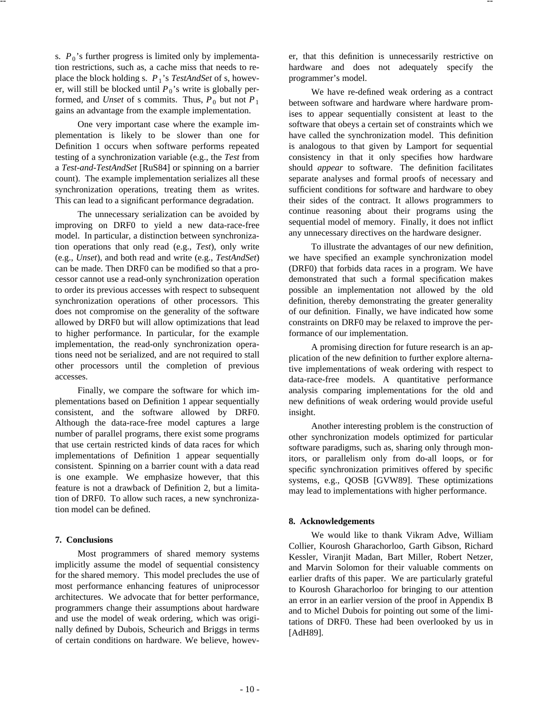s.  $P_0$ 's further progress is limited only by implementation restrictions, such as, a cache miss that needs to replace the block holding s. *P*<sup>1</sup> 's *TestAndSet* of s, however, will still be blocked until  $P_0$ 's write is globally performed, and *Unset* of s commits. Thus,  $P_0$  but not  $P_1$ gains an advantage from the example implementation.

-- --

One very important case where the example implementation is likely to be slower than one for Definition 1 occurs when software performs repeated testing of a synchronization variable (e.g., the *Test* from a *Test-and-TestAndSet* [RuS84] or spinning on a barrier count). The example implementation serializes all these synchronization operations, treating them as writes. This can lead to a significant performance degradation.

The unnecessary serialization can be avoided by improving on DRF0 to yield a new data-race-free model. In particular, a distinction between synchronization operations that only read (e.g., *Test*), only write (e.g., *Unset*), and both read and write (e.g., *TestAndSet*) can be made. Then DRF0 can be modified so that a processor cannot use a read-only synchronization operation to order its previous accesses with respect to subsequent synchronization operations of other processors. This does not compromise on the generality of the software allowed by DRF0 but will allow optimizations that lead to higher performance. In particular, for the example implementation, the read-only synchronization operations need not be serialized, and are not required to stall other processors until the completion of previous accesses.

Finally, we compare the software for which implementations based on Definition 1 appear sequentially consistent, and the software allowed by DRF0. Although the data-race-free model captures a large number of parallel programs, there exist some programs that use certain restricted kinds of data races for which implementations of Definition 1 appear sequentially consistent. Spinning on a barrier count with a data read is one example. We emphasize however, that this feature is not a drawback of Definition 2, but a limitation of DRF0. To allow such races, a new synchronization model can be defined.

# **7. Conclusions**

Most programmers of shared memory systems implicitly assume the model of sequential consistency for the shared memory. This model precludes the use of most performance enhancing features of uniprocessor architectures. We advocate that for better performance, programmers change their assumptions about hardware and use the model of weak ordering, which was originally defined by Dubois, Scheurich and Briggs in terms of certain conditions on hardware. We believe, however, that this definition is unnecessarily restrictive on hardware and does not adequately specify the programmer's model.

We have re-defined weak ordering as a contract between software and hardware where hardware promises to appear sequentially consistent at least to the software that obeys a certain set of constraints which we have called the synchronization model. This definition is analogous to that given by Lamport for sequential consistency in that it only specifies how hardware should *appear* to software. The definition facilitates separate analyses and formal proofs of necessary and sufficient conditions for software and hardware to obey their sides of the contract. It allows programmers to continue reasoning about their programs using the sequential model of memory. Finally, it does not inflict any unnecessary directives on the hardware designer.

To illustrate the advantages of our new definition, we have specified an example synchronization model (DRF0) that forbids data races in a program. We have demonstrated that such a formal specification makes possible an implementation not allowed by the old definition, thereby demonstrating the greater generality of our definition. Finally, we have indicated how some constraints on DRF0 may be relaxed to improve the performance of our implementation.

A promising direction for future research is an application of the new definition to further explore alternative implementations of weak ordering with respect to data-race-free models. A quantitative performance analysis comparing implementations for the old and new definitions of weak ordering would provide useful insight.

Another interesting problem is the construction of other synchronization models optimized for particular software paradigms, such as, sharing only through monitors, or parallelism only from do-all loops, or for specific synchronization primitives offered by specific systems, e.g., QOSB [GVW89]. These optimizations may lead to implementations with higher performance.

#### **8. Acknowledgements**

We would like to thank Vikram Adve, William Collier, Kourosh Gharachorloo, Garth Gibson, Richard Kessler, Viranjit Madan, Bart Miller, Robert Netzer, and Marvin Solomon for their valuable comments on earlier drafts of this paper. We are particularly grateful to Kourosh Gharachorloo for bringing to our attention an error in an earlier version of the proof in Appendix B and to Michel Dubois for pointing out some of the limitations of DRF0. These had been overlooked by us in [AdH89].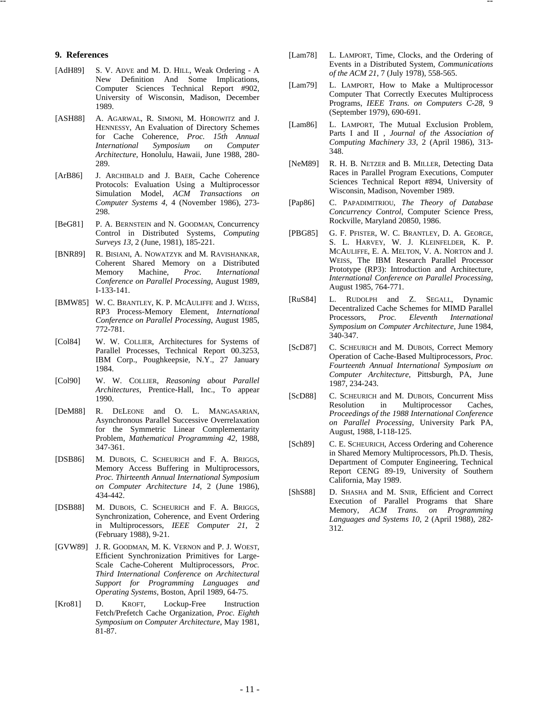#### **9. References**

[AdH89] S. V. ADVE and M. D. HILL, Weak Ordering - A New Definition And Some Implications, Computer Sciences Technical Report #902, University of Wisconsin, Madison, December 1989.

-- --

- [ASH88] A. AGARWAL, R. SIMONI, M. HOROWITZ and J. HENNESSY, An Evaluation of Directory Schemes for Cache Coherence, *Proc. 15th Annual International Symposium on Computer Architecture*, Honolulu, Hawaii, June 1988, 280- 289.
- [ArB86] J. ARCHIBALD and J. BAER, Cache Coherence Protocols: Evaluation Using a Multiprocessor Simulation Model, *ACM Transactions on Computer Systems 4*, 4 (November 1986), 273- 298.
- [BeG81] P. A. BERNSTEIN and N. GOODMAN, Concurrency Control in Distributed Systems, *Computing Surveys 13*, 2 (June, 1981), 185-221.
- [BNR89] R. BISIANI, A. NOWATZYK and M. RAVISHANKAR, Coherent Shared Memory on a Distributed Memory Machine, *Proc. International Conference on Parallel Processing*, August 1989, I-133-141.
- [BMW85] W. C. BRANTLEY, K. P. MCAULIFFE and J. WEISS, RP3 Process-Memory Element, *International Conference on Parallel Processing*, August 1985, 772-781.
- [Col84] W. W. COLLIER, Architectures for Systems of Parallel Processes, Technical Report 00.3253, IBM Corp., Poughkeepsie, N.Y., 27 January 1984.
- [Col90] W. W. COLLIER, *Reasoning about Parallel Architectures*, Prentice-Hall, Inc., To appear 1990.
- [DeM88] R. DELEONE and O. L. MANGASARIAN, Asynchronous Parallel Successive Overrelaxation for the Symmetric Linear Complementarity Problem, *Mathematical Programming 42*, 1988, 347-361.
- [DSB86] M. DUBOIS, C. SCHEURICH and F. A. BRIGGS, Memory Access Buffering in Multiprocessors, *Proc. Thirteenth Annual International Symposium on Computer Architecture 14*, 2 (June 1986), 434-442.
- [DSB88] M. DUBOIS, C. SCHEURICH and F. A. BRIGGS, Synchronization, Coherence, and Event Ordering in Multiprocessors, *IEEE Computer 21*, 2 (February 1988), 9-21.
- [GVW89] J. R. GOODMAN, M. K. VERNON and P. J. WOEST, Efficient Synchronization Primitives for Large-Scale Cache-Coherent Multiprocessors, *Proc. Third International Conference on Architectural Support for Programming Languages and Operating Systems*, Boston, April 1989, 64-75.
- [Kro81] D. KROFT, Lockup-Free Instruction Fetch/Prefetch Cache Organization, *Proc. Eighth Symposium on Computer Architecture*, May 1981, 81-87.
- [Lam78] L. LAMPORT, Time, Clocks, and the Ordering of Events in a Distributed System, *Communications of the ACM 21*, 7 (July 1978), 558-565.
- [Lam79] L. LAMPORT, How to Make a Multiprocessor Computer That Correctly Executes Multiprocess Programs, *IEEE Trans. on Computers C-28*, 9 (September 1979), 690-691.
- [Lam86] L. LAMPORT, The Mutual Exclusion Problem, Parts I and II , *Journal of the Association of Computing Machinery 33*, 2 (April 1986), 313- 348.
- [NeM89] R. H. B. NETZER and B. MILLER, Detecting Data Races in Parallel Program Executions, Computer Sciences Technical Report #894, University of Wisconsin, Madison, November 1989.
- [Pap86] C. PAPADIMITRIOU, *The Theory of Database Concurrency Control*, Computer Science Press, Rockville, Maryland 20850, 1986.
- [PBG85] G. F. PFISTER, W. C. BRANTLEY, D. A. GEORGE, S. L. HARVEY, W. J. KLEINFELDER, K. P. MCAULIFFE, E. A. MELTON, V. A. NORTON and J. WEISS, The IBM Research Parallel Processor Prototype (RP3): Introduction and Architecture, *International Conference on Parallel Processing*, August 1985, 764-771.
- [RuS84] L. RUDOLPH and Z. SEGALL, Dynamic Decentralized Cache Schemes for MIMD Parallel<br>Processors, Proc. Eleventh International Processors, *Proc. Eleventh International Symposium on Computer Architecture*, June 1984, 340-347.
- [ScD87] C. SCHEURICH and M. DUBOIS, Correct Memory Operation of Cache-Based Multiprocessors, *Proc. Fourteenth Annual International Symposium on Computer Architecture*, Pittsburgh, PA, June 1987, 234-243.
- [ScD88] C. SCHEURICH and M. DUBOIS, Concurrent Miss Resolution in Multiprocessor Caches, *Proceedings of the 1988 International Conference on Parallel Processing*, University Park PA, August, 1988, I-118-125.
- [Sch89] C. E. SCHEURICH, Access Ordering and Coherence in Shared Memory Multiprocessors, Ph.D. Thesis, Department of Computer Engineering, Technical Report CENG 89-19, University of Southern California, May 1989.
- [ShS88] D. SHASHA and M. SNIR, Efficient and Correct Execution of Parallel Programs that Share Memory, *ACM Trans. on Programming Languages and Systems 10*, 2 (April 1988), 282- 312.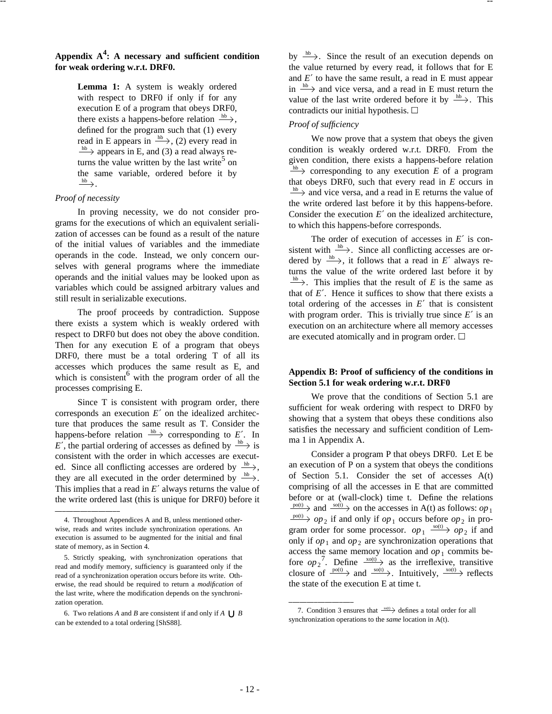# **Appendix A 4 : A necessary and sufficient condition for weak ordering w.r.t. DRF0.**

-- --

**Lemma 1:** A system is weakly ordered with respect to DRF0 if only if for any execution E of a program that obeys DRF0, there exists a happens-before relation  $\xrightarrow{\text{hb}}$ , defined for the program such that (1) every read in E appears in  $\xrightarrow{hb}$ , (2) every read in  $\rightarrow$  appears in E, and (3) a read always returns the value written by the last write<sup>5</sup> on the same variable, ordered before it by  $\stackrel{\text{hb}}{\longrightarrow}$ .

# *Proof of necessity*

In proving necessity, we do not consider programs for the executions of which an equivalent serialization of accesses can be found as a result of the nature of the initial values of variables and the immediate operands in the code. Instead, we only concern ourselves with general programs where the immediate operands and the initial values may be looked upon as variables which could be assigned arbitrary values and still result in serializable executions.

The proof proceeds by contradiction. Suppose there exists a system which is weakly ordered with respect to DRF0 but does not obey the above condition. Then for any execution E of a program that obeys DRF0, there must be a total ordering T of all its accesses which produces the same result as E, and which is consistent  $6$  with the program order of all the processes comprising E.

Since T is consistent with program order, there corresponds an execution *E*′ on the idealized architecture that produces the same result as T. Consider the happens-before relation  $\xrightarrow{hb}$  corresponding to *E'*. In *E'*, the partial ordering of accesses as defined by  $\rightarrow$  is consistent with the order in which accesses are executed. Since all conflicting accesses are ordered by  $\xrightarrow{hb}$ , they are all executed in the order determined by  $\xrightarrow{hb}$ . This implies that a read in *E*′ always returns the value of the write ordered last (this is unique for DRF0) before it

by  $\xrightarrow{hb}$ . Since the result of an execution depends on the value returned by every read, it follows that for E and *E*′ to have the same result, a read in E must appear in  $\xrightarrow{hb}$  and vice versa, and a read in E must return the value of the last write ordered before it by  $\xrightarrow{hb}$ . This contradicts our initial hypothesis.  $\Box$ 

# *Proof of sufficiency*

We now prove that a system that obeys the given condition is weakly ordered w.r.t. DRF0. From the given condition, there exists a happens-before relation  $\rightarrow$  corresponding to any execution *E* of a program that obeys DRF0, such that every read in *E* occurs in  $\rightarrow$  and vice versa, and a read in E returns the value of the write ordered last before it by this happens-before. Consider the execution *E*′ on the idealized architecture, to which this happens-before corresponds.

The order of execution of accesses in *E*′ is consistent with  $\xrightarrow{hb}$ . Since all conflicting accesses are ordered by  $\xrightarrow{hb}$ , it follows that a read in *E'* always returns the value of the write ordered last before it by  $h b \rightarrow$ . This implies that the result of *E* is the same as that of  $E'$ . Hence it suffices to show that there exists a total ordering of the accesses in *E*′ that is consistent with program order. This is trivially true since *E*′ is an execution on an architecture where all memory accesses are executed atomically and in program order.  $\square$ 

# **Appendix B: Proof of sufficiency of the conditions in Section 5.1 for weak ordering w.r.t. DRF0**

We prove that the conditions of Section 5.1 are sufficient for weak ordering with respect to DRF0 by showing that a system that obeys these conditions also satisfies the necessary and sufficient condition of Lemma 1 in Appendix A.

Consider a program P that obeys DRF0. Let E be an execution of P on a system that obeys the conditions of Section 5.1. Consider the set of accesses A(t) comprising of all the accesses in E that are committed before or at (wall-clock) time t. Define the relations  $p_{\text{po(t)}}$  and  $\rightarrow$  so(t)  $\rightarrow$  on the accesses in A(t) as follows: *op*<sub>1</sub>  $p_{0}(t)$  *op*<sub>2</sub> if and only if *op*<sub>1</sub> occurs before *op*<sub>2</sub> in program order for some processor.  $op_1 \xrightarrow{so(t)} op_2$  if and only if  $op_1$  and  $op_2$  are synchronization operations that access the same memory location and  $op_1$  commits before  $op_2^7$ . Define  $\frac{xo(t)}{s}$  as the irreflexive, transitive closure of  $\frac{p_0(t)}{t}$  and  $\frac{s_0(t)}{t}$ . Intuitively,  $\frac{x_0(t)}{t}$  reflects the state of the execution E at time t.

<sup>4.</sup> Throughout Appendices A and B, unless mentioned otherwise, reads and writes include synchronization operations. An execution is assumed to be augmented for the initial and final state of memory, as in Section 4.

<sup>5.</sup> Strictly speaking, with synchronization operations that read and modify memory, sufficiency is guaranteed only if the read of a synchronization operation occurs before its write. Otherwise, the read should be required to return a *modification* of the last write, where the modification depends on the synchronization operation.

<sup>6.</sup> Two relations *A* and *B* are consistent if and only if  $A \cup B$ can be extended to a total ordering [ShS88].

<sup>7.</sup> Condition 3 ensures that  $\xrightarrow{s_0(t)}$  defines a total order for all synchronization operations to the *same* location in A(t).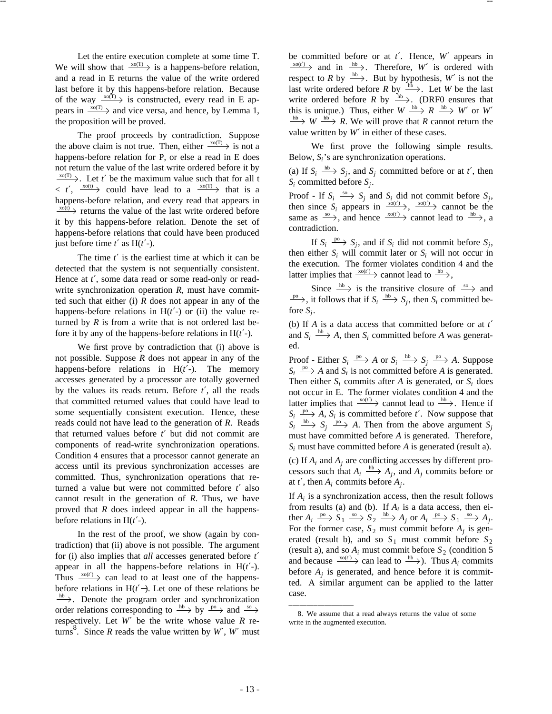Let the entire execution complete at some time T. We will show that  $\frac{xo(T)}{s}$  is a happens-before relation, and a read in E returns the value of the write ordered last before it by this happens-before relation. Because of the way  $\frac{xo(T)}{s}$  is constructed, every read in E appears in  $\frac{x(0)}{1}$  and vice versa, and hence, by Lemma 1, the proposition will be proved.

-- --

The proof proceeds by contradiction. Suppose the above claim is not true. Then, either  $\frac{xo(T)}{s}$  is not a happens-before relation for P, or else a read in E does not return the value of the last write ordered before it by  $\frac{x \cdot (T)}{T}$ . Let *t'* be the maximum value such that for all t  $\langle t', \xrightarrow{xo(t)}$  could have lead to a  $\xrightarrow{xo(T)}$  that is a happens-before relation, and every read that appears in  $\rightarrow$  returns the value of the last write ordered before it by this happens-before relation. Denote the set of happens-before relations that could have been produced just before time  $t'$  as  $H(t')$ .

The time *t*′ is the earliest time at which it can be detected that the system is not sequentially consistent. Hence at *t*′, some data read or some read-only or readwrite synchronization operation *R*, must have committed such that either (i)  $R$  does not appear in any of the happens-before relations in  $H(t')$  or (ii) the value returned by  $R$  is from a write that is not ordered last before it by any of the happens-before relations in H(*t*′-).

We first prove by contradiction that (i) above is not possible. Suppose *R* does not appear in any of the happens-before relations in H(*t*′-). The memory accesses generated by a processor are totally governed by the values its reads return. Before *t*′, all the reads that committed returned values that could have lead to some sequentially consistent execution. Hence, these reads could not have lead to the generation of *R*. Reads that returned values before *t*′ but did not commit are components of read-write synchronization operations. Condition 4 ensures that a processor cannot generate an access until its previous synchronization accesses are committed. Thus, synchronization operations that returned a value but were not committed before *t*′ also cannot result in the generation of *R*. Thus, we have proved that *R* does indeed appear in all the happensbefore relations in H(*t*′-).

In the rest of the proof, we show (again by contradiction) that (ii) above is not possible. The argument for (i) also implies that *all* accesses generated before *t*′ appear in all the happens-before relations in H(*t*′-). Thus  $\xrightarrow{x_0(t')}$  can lead to at least one of the happensbefore relations in H(*t*′−). Let one of these relations be  $h b \rightarrow$ . Denote the program order and synchronization order relations corresponding to  $\xrightarrow{hb}$  by  $\xrightarrow{p_0}$  and  $\xrightarrow{s_0}$ respectively. Let *W*′ be the write whose value *R* returns<sup>8</sup>. Since *R* reads the value written by *W'*, *W'* must

be committed before or at *t*′. Hence, *W*′ appears in  $\lim_{x \to a}$  and in  $\xrightarrow{hb}$ . Therefore, W' is ordered with respect to *R* by  $\xrightarrow{hb}$ . But by hypothesis, *W'* is not the last write ordered before *R* by  $\xrightarrow{hb}$ . Let *W* be the last write ordered before *R* by  $\xrightarrow{hb}$ . (DRF0 ensures that this is unique.) Thus, either  $W \xrightarrow{hb} R \xrightarrow{hb} W'$  or W'  $\rightarrow$  *W*  $\rightarrow$  *R*. We will prove that *R* cannot return the value written by *W*′ in either of these cases.

We first prove the following simple results. Below,  $S_i$ 's are synchronization operations.

(a) If  $S_i \xrightarrow{\text{hb}} S_j$ , and  $S_j$  committed before or at *t'*, then *S<sup>i</sup>* committed before *S<sup>j</sup>* .

Proof - If  $S_i \xrightarrow{s_0} S_j$  and  $S_i$  did not commit before  $S_j$ , then since  $S_i$  appears in  $\xrightarrow{s_0(t')}$ ,  $\xrightarrow{s_0(t')}$  cannot be the same as  $\xrightarrow{s_0}$ , and hence  $\xrightarrow{x_0(t')}$  cannot lead to  $\xrightarrow{hb}$ , a contradiction.

If  $S_i \xrightarrow{\text{po}} S_j$ , and if  $S_i$  did not commit before  $S_j$ , then either  $S_i$  will commit later or  $S_i$  will not occur in the execution. The former violates condition 4 and the latter implies that  $\frac{xo(t')}{\longrightarrow}$  cannot lead to  $\frac{hb}{\longrightarrow}$ ,

Since  $\xrightarrow{hb}$  is the transitive closure of  $\xrightarrow{so}$  and  $p_0 \rightarrow$ , it follows that if  $S_i \xrightarrow{\text{hb}} S_j$ , then  $S_i$  committed before *S<sup>j</sup>* .

(b) If *A* is a data access that committed before or at *t*′ and  $S_i \xrightarrow{\text{hb}} A$ , then  $S_i$  committed before *A* was generated.

Proof - Either  $S_i \xrightarrow{p_0} A$  or  $S_i \xrightarrow{hb} S_j \xrightarrow{p_0} A$ . Suppose  $S_i \xrightarrow{\text{po}} A$  and  $S_i$  is not committed before *A* is generated. Then either  $S_i$  commits after *A* is generated, or  $S_i$  does not occur in E. The former violates condition 4 and the latter implies that  $\frac{xo(t')}{\longrightarrow}$  cannot lead to  $\frac{hb}{\longrightarrow}$ . Hence if  $S_i \xrightarrow{po} A$ ,  $S_i$  is committed before *t'*. Now suppose that  $S_i \xrightarrow{\text{hb}} S_j \xrightarrow{\text{po}} A$ . Then from the above argument  $S_j$ must have committed before *A* is generated. Therefore, *S<sup>i</sup>* must have committed before *A* is generated (result a).

(c) If  $A_i$  and  $A_j$  are conflicting accesses by different processors such that  $A_i \xrightarrow{\text{hb}} A_j$ , and  $A_j$  commits before or at  $t'$ , then  $A_i$  commits before  $A_j$ .

If  $A_i$  is a synchronization access, then the result follows from results (a) and (b). If  $A_i$  is a data access, then either  $A_i \xrightarrow{po} S_1 \xrightarrow{so} S_2 \xrightarrow{hb} A_j$  or  $A_i \xrightarrow{po} S_1 \xrightarrow{so} A_j$ . For the former case,  $S_2$  must commit before  $A_j$  is generated (result b), and so  $S_1$  must commit before  $S_2$ (result a), and so  $A_i$  must commit before  $S_2$  (condition 5) and because  $\frac{x o(t')}{\longrightarrow}$  can lead to  $\frac{hb}{\longrightarrow}$ ). Thus  $A_i$  commits before  $A_j$  is generated, and hence before it is committed. A similar argument can be applied to the latter case.

<sup>8.</sup> We assume that a read always returns the value of some write in the augmented execution.